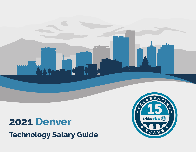

# **2021 Denver**

**Technology Salary Guide**

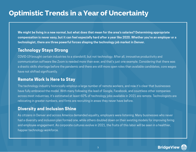### **Optimistic Trends in a Year of Uncertainty**

**We might be living in a new normal, but what does that mean for the area's salaries? Determining appropriate compensation is never easy, but it can feel especially hard after a year like 2020. Whether you're an employer or a technologist, there are three powerful forces shaping the technology job market in Denver.**

#### **Technology Stays Strong**

COVID-19 brought certain industries to a standstill, but not technology. After all, innovative productivity and communication software like Zoom is needed more than ever, and that's just one example. Considering that there was a drastic skills shortage before the pandemic and there are still more open roles than available candidates, core wages have not shifted significantly.

#### **Remote Work Is Here to Stay**

The technology industry historically employs a large number of remote workers, and now it's clear that businesses have fully embraced the model. With many following the lead of Google, Facebook, and countless other companies across most industries, it's estimated at least 60% of technology jobs available in 2021 are remote. Technologists are relocating in greater numbers, and firms are recruiting in areas they never have before.

#### **Diversity and Inclusion Shine**

As citizens in Denver and across America demanded equality, employers were listening. Many businesses who never had a diversity and inclusion plan formed one, while others doubled down on their existing models for improving hiring and employee engagement. As corporate cultures evolve in 2021, the fruits of this labor will be seen in a healthier, happier technology workforce.

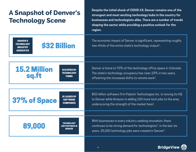| <b>A Snapshot of Denver's</b> |  |
|-------------------------------|--|
| <b>Technology Scene</b>       |  |

**Despite the initial shock of COVID-19, Denver remains one of the strongest and most exciting technology hubs in the country for businesses and technologists alike. There are a number of trends shaping the sector while providing a positive outlook for the region.**

| <b>DENVER'S</b><br><b>\$32 Billion</b><br><b>TECHNOLOGY</b><br><b>INDUSTRY</b><br><b>GENERATES</b> | The economic impact of Denver is significant, representing roughly<br>two-thirds of the entire state's technology output <sup>1</sup> .                                                                              |
|----------------------------------------------------------------------------------------------------|----------------------------------------------------------------------------------------------------------------------------------------------------------------------------------------------------------------------|
|                                                                                                    |                                                                                                                                                                                                                      |
| <b>15.2 Million</b><br><b>OCCUPIED BY</b><br><b>TECHNOLOGY</b><br>sq.ft<br><b>FIRMS</b>            | Denver is home to 70% of the technology office space in Colorado.<br>The state's technology occupancy has risen 23% in two years,<br>offsetting the increased shifts to remote work <sup>2</sup> .                   |
|                                                                                                    |                                                                                                                                                                                                                      |
| <b>IS LEASED BY</b><br>37% of Space<br><b>SOFTWARE</b><br><b>COMPANIES</b>                         | \$20-billion software firm Palantir Technologies Inc. is moving its HQ<br>to Denver while Amazon is adding 100 more tech jobs to the area,<br>underscoring the strength of the market here <sup>2</sup> .            |
|                                                                                                    |                                                                                                                                                                                                                      |
| TECHNOLOGY<br>89.000<br><b>JOB POSTINGS IN</b><br><b>DENVER</b>                                    | With businesses in every industry seeking innovation, there<br>continues to be strong demand for technologists <sup>1</sup> . In the last six<br>years, 25,000 technology jobs were created in Denver <sup>3</sup> . |

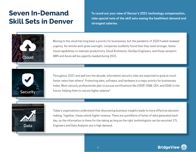## **Seven In-Demand Skill Sets in Denver**

**To round out your view of Denver's 2021 technology compensation, take special note of the skill sets seeing the healthiest demand and strongest salaries.**



Moving to the cloud has long been a priority for businesses, but the pandemic of 2020 fueled renewed urgency. As remote work grew overnight, companies suddenly found that they need stronger, faster cloud capabilities to maintain productivity. Cloud Architects, DevOps Engineers, and those versed in AWS and Azure will be urgently needed during 2021. **Cloud**



Throughout 2021 and well into the decade, information security roles are expected to grow at much faster rates than others<sup>4</sup>. Protecting data, software, and hardware is a major priority for businesses today. Most security professionals plan to pursue certifications like CISSP, CISM, CEH, and GSAE in the **Security Security Security Security Security Security Security Security Security Security Security Security Security Security Security Security Security Security Security Security S** 



Today's organizations understand that discovering business insights leads to more effective decisionmaking. Together, these unlock higher revenue. There are quintillions of bytes of data generated each day, so the information is there for the taking as long as the right technologists can be recruited. ETL **Data** Engineers and Data Analysts are in high demand.

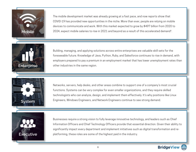

The mobile development market was already growing at a fast pace, and now reports show that COVID-19 has provided new opportunities in the niche. More than ever, people are relying on mobile devices to communicate and work. With this market expected to grow by \$497 billion from 2020 to **Mobile** 2024, expect mobile salaries to rise in 2021 and beyond as a result of this accelerated demand<sup>6</sup>.



Building, managing, and applying solutions across entire enterprises are valuable skill sets for the foreseeable future. Knowledge of Java, Python, Ruby, and Salesforce continues to rise in demand, with employers prepared to pay a premium in an employment market that has lower unemployment rates than **Enterprise other industries in the same region.** 



Networks, servers, help desks, and other areas combine to support one of a company's most crucial functions. Systems can be very complex for even smaller organizations, and they require skilled technologists who can analyze, design, and implement them effectively. It's why positions like Linux Engineers, Windows Engineers, and Network Engineers continue to see strong demand.



Businesses require a strong vision to fully leverage innovative technology, and leaders such as Chief Information Officers and Chief Technology Officers provide that essential direction. Given their ability to significantly impact every department and implement initiatives such as digital transformation and replatforming, these roles are some of the highest paid in the industry.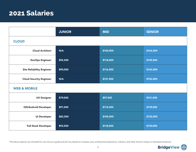### **2021 Salaries**

|                                  | <b>JUNIOR</b> | <b>MID</b> | <b>SENIOR</b> |  |  |
|----------------------------------|---------------|------------|---------------|--|--|
| <b>CLOUD</b>                     |               |            |               |  |  |
| <b>Cloud Architect</b>           | N/A           | \$145,000  | \$164,500     |  |  |
| <b>DevOps Engineer</b>           | \$92,500      | \$118,000  | \$145,500     |  |  |
| <b>Site Reliability Engineer</b> | \$90,000      | \$116,500  | \$142,000     |  |  |
| <b>Cloud Security Engineer</b>   | N/A           | \$131,500  | \$152,000     |  |  |
| <b>WEB &amp; MOBILE</b>          |               |            |               |  |  |
| <b>UX Designer</b>               | \$79,000      | \$97,500   | \$121,000     |  |  |
| iOS/Android Developer            | \$91,000      | \$112,000  | \$139,500     |  |  |
| <b>UI Developer</b>              | \$82,500      | \$105,000  | \$132,000     |  |  |
| <b>Full Stack Developer</b>      | \$93,500      | \$118,000  | \$139,000     |  |  |

\*The above salaries are intended for use only as a guide and will vary based on company size, professional experience, industry, and other factors unique to individual situations.

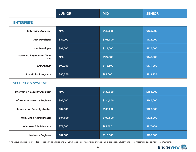|                                          | <b>JUNIOR</b> | <b>MID</b> | <b>SENIOR</b> |  |  |
|------------------------------------------|---------------|------------|---------------|--|--|
| <b>ENTERPRISE</b>                        |               |            |               |  |  |
| <b>Enterprise Architect</b>              | N/A           | \$143,000  | \$168,000     |  |  |
| .Net Developer                           | \$87,000      | \$108,000  | \$123,000     |  |  |
| Java Developer                           | \$91,000      | \$114,000  | \$136,000     |  |  |
| <b>Software Engineering Team</b><br>Lead | N/A           | \$127,500  | \$140,000     |  |  |
| <b>SAP Analyst</b>                       | \$90,000      | \$113,500  | \$139,000     |  |  |
| <b>SharePoint Integrator</b>             | \$85,000      | \$98,000   | \$119,500     |  |  |
| <b>SECURITY &amp; SYSTEMS</b>            |               |            |               |  |  |
| <b>Information Security Architect</b>    | N/A           | \$132,000  | \$154,000     |  |  |
| <b>Information Security Engineer</b>     | \$95,000      | \$124,000  | \$146,000     |  |  |
| <b>Information Security Analyst</b>      | \$89,500      | \$105,000  | \$123,500     |  |  |
| Unix/Linux Administrator                 | \$84,000      | \$102,500  | \$121,000     |  |  |
| <b>Windows Administrator</b>             | \$74,000      | \$97,000   | \$117,000     |  |  |
| <b>Network Engineer</b>                  | \$87,000      | \$116,000  | \$135,500     |  |  |

\*The above salaries are intended for use only as a guide and will vary based on company size, professional experience, industry, and other factors unique to individual situations.

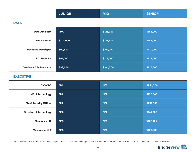|                               | <b>JUNIOR</b> | <b>MID</b> | <b>SENIOR</b> |  |  |
|-------------------------------|---------------|------------|---------------|--|--|
| <b>DATA</b>                   |               |            |               |  |  |
| <b>Data Architect</b>         | N/A           | \$125,000  | \$156,000     |  |  |
| <b>Data Scientist</b>         | \$103,000     | \$128,500  | \$156,000     |  |  |
| <b>Database Developer</b>     | \$90,500      | \$109,000  | \$130,000     |  |  |
| <b>ETL Engineer</b>           | \$91,000      | \$114,000  | \$135,000     |  |  |
| <b>Database Administrator</b> | \$83,000      | \$104,500  | \$126,500     |  |  |
| <b>EXECUTIVE</b>              |               |            |               |  |  |
| <b>CIO/CTO</b>                | N/A           | N/A        | \$254,500     |  |  |
| <b>VP of Technology</b>       | N/A           | N/A        | \$190,000     |  |  |
| <b>Chief Security Officer</b> | N/A           | N/A        | \$231,000     |  |  |
| <b>Director of Technology</b> | N/A           | N/A        | \$169,000     |  |  |
| <b>Manager of IT</b>          | N/A           | N/A        | \$137,000     |  |  |
| Manager of QA                 | N/A           | N/A        | \$128,500     |  |  |

\*The above salaries are intended for use only as a guide and will vary based on company size, professional experience, industry, and other factors unique to individual situations.

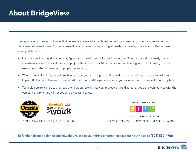# **About BridgeView**

Headquartered in Denver, Colorado, BridgeView has delivered exceptional technology consulting, project augmentation, and placement services for over 15 years. No matter your project or technologist needs, we have a proven solution that is based on strong relationships.

- For those seeking cloud enablement, Agile transformation, or digital engineering, our Solutions practice is ready to meet you where you are and accelerate your project lifecycle journey. Minimize risk and achieve higher product quality through executive strategy consulting or project outsourcing.
- When in need of a highly capable technology team, our sourcing, recruiting, and staffing offerings are ready to make an impact. Higher interview-to-placement ratios and competitive pay rates mean you save time and money while boosting hiring.
- Technologists rely on us to progress their careers. We dig into your professional and personal goals and connect you with the company and role that will get you where you want to go.



DENVER BUSINESS JOURNAL



2019 BEST PLACES TO WORK

OUTSIDE MAGAZINE'S BEST PLACES TO WORK DERIVER BUSINESS JOURNAL'S BEST PLACES TO WORK

**To further discuss salaries and how they relate to your hiring or career goals, reach out to us at (303) 532-4700**.

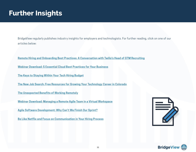### **Further Insights**

BridgeView regularly publishes industry insights for employers and technologists. For further reading, click on one of our articles below:

**[Remote Hiring and Onboarding Best Practices: A Conversation with Twilio's Head of GTM Recruiting](https://www.bridgeviewit.com/remote-hiring-and-onboarding-best-practices/)**

**[Webinar Download: 5 Essential Cloud Best Practices for Your Business](https://www.bridgeviewit.com/5-essential-cloud-practices-for-your-business/)**

**[The Keys to Staying Within Your Tech Hiring Budget](https://bridgeviewit.com/tech-hiring-budget/)**

**[The New Job Search: Free Resources for Growing Your Technology Career in Colorado](https://www.bridgeviewit.com/the-new-job-search-free-resources-for-growing-your-technology-career-in-colorado/)**

**[The Unexpected Benefits of Working Remotely](https://www.bridgeviewit.com/the-unexpected-benefits-of-working-remotely/)**

**[Webinar Download: Managing a Remote Agile Team in a Virtual Workspace](https://www.bridgeviewit.com/webinar-download-managing-a-remote-agile-team-in-a-virtual-workspace/)**

**[Agile Software Development: Why Can't We Finish Our Sprint?](https://bridgeviewit.com/insight/agile-software-development/)**

**[Be Like Netflix and Focus on Communication in Your Hiring Process](https://bridgeviewit.com/improving-communication-in-technology-hiring/)**